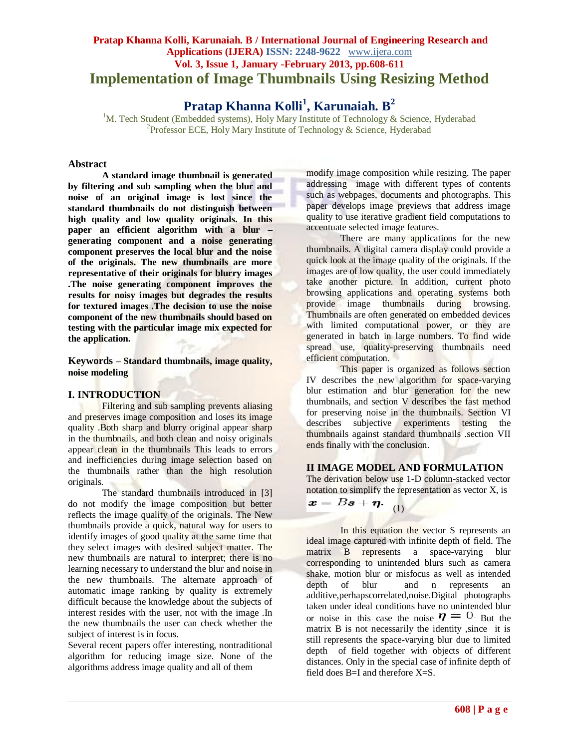# **Pratap Khanna Kolli, Karunaiah. B / International Journal of Engineering Research and Applications (IJERA) ISSN: 2248-9622** www.ijera.com **Vol. 3, Issue 1, January -February 2013, pp.608-611 Implementation of Image Thumbnails Using Resizing Method**

# **Pratap Khanna Kolli<sup>1</sup> , Karunaiah. B<sup>2</sup>**

<sup>1</sup>M. Tech Student (Embedded systems), Holy Mary Institute of Technology & Science, Hyderabad <sup>2</sup>Professor ECE, Holy Mary Institute of Technology & Science, Hyderabad

### **Abstract**

**A standard image thumbnail is generated by filtering and sub sampling when the blur and noise of an original image is lost since the standard thumbnails do not distinguish between high quality and low quality originals. In this paper an efficient algorithm with a blur – generating component and a noise generating component preserves the local blur and the noise of the originals. The new thumbnails are more representative of their originals for blurry images .The noise generating component improves the results for noisy images but degrades the results for textured images .The decision to use the noise component of the new thumbnails should based on testing with the particular image mix expected for the application.** 

### **Keywords – Standard thumbnails, image quality, noise modeling**

### **I. INTRODUCTION**

Filtering and sub sampling prevents aliasing and preserves image composition and loses its image quality .Both sharp and blurry original appear sharp in the thumbnails, and both clean and noisy originals appear clean in the thumbnails This leads to errors and inefficiencies during image selection based on the thumbnails rather than the high resolution originals.

The standard thumbnails introduced in [3] do not modify the image composition but better reflects the image quality of the originals. The New thumbnails provide a quick, natural way for users to identify images of good quality at the same time that they select images with desired subject matter. The new thumbnails are natural to interpret; there is no learning necessary to understand the blur and noise in the new thumbnails. The alternate approach of automatic image ranking by quality is extremely difficult because the knowledge about the subjects of interest resides with the user, not with the image .In the new thumbnails the user can check whether the subject of interest is in focus.

Several recent papers offer interesting, nontraditional algorithm for reducing image size. None of the algorithms address image quality and all of them

modify image composition while resizing. The paper addressing image with different types of contents such as webpages, documents and photographs. This paper develops image previews that address image quality to use iterative gradient field computations to accentuate selected image features.

There are many applications for the new thumbnails. A digital camera display could provide a quick look at the image quality of the originals. If the images are of low quality, the user could immediately take another picture. In addition, current photo browsing applications and operating systems both provide image thumbnails during browsing. Thumbnails are often generated on embedded devices with limited computational power, or they are generated in batch in large numbers. To find wide spread use, quality-preserving thumbnails need efficient computation.

This paper is organized as follows section IV describes the new algorithm for space-varying blur estimation and blur generation for the new thumbnails, and section V describes the fast method for preserving noise in the thumbnails. Section VI describes subjective experiments testing the thumbnails against standard thumbnails .section VII ends finally with the conclusion.

### **II IMAGE MODEL AND FORMULATION**

The derivation below use 1-D column-stacked vector notation to simplify the representation as vector X, is

 $\mathbf{x} = B\mathbf{s} + \boldsymbol{\eta}.$ (1)

In this equation the vector S represents an ideal image captured with infinite depth of field. The matrix B represents a space-varying blur corresponding to unintended blurs such as camera shake, motion blur or misfocus as well as intended depth of blur and n represents an additive,perhapscorrelated,noise.Digital photographs taken under ideal conditions have no unintended blur or noise in this case the noise  $\eta = 0$ . But the matrix B is not necessarily the identity ,since it is still represents the space-varying blur due to limited depth of field together with objects of different distances. Only in the special case of infinite depth of field does B=I and therefore X=S.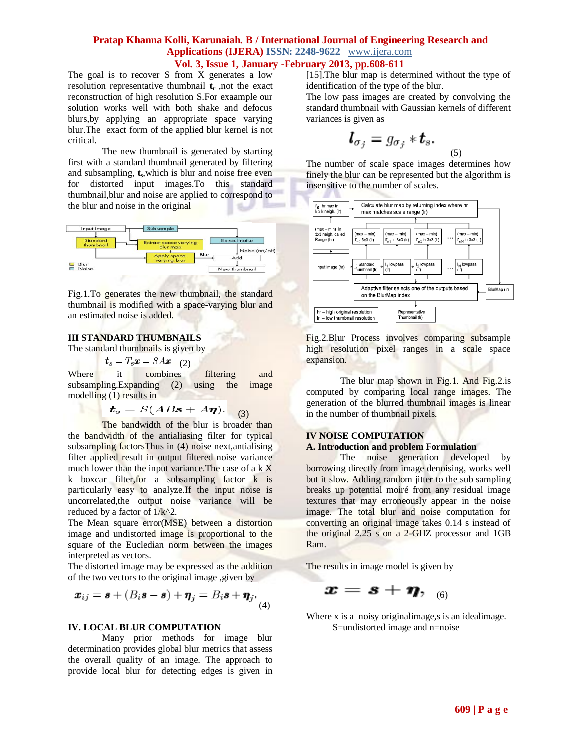### **Pratap Khanna Kolli, Karunaiah. B / International Journal of Engineering Research and Applications (IJERA) ISSN: 2248-9622** www.ijera.com **Vol. 3, Issue 1, January -February 2013, pp.608-611**

The goal is to recover S from X generates a low resolution representative thumbnail  $t_r$ , not the exact reconstruction of high resolution S.For exaample our solution works well with both shake and defocus blurs,by applying an appropriate space varying blur.The exact form of the applied blur kernel is not critical.

The new thumbnail is generated by starting first with a standard thumbnail generated by filtering and subsampling,  $t_s$ , which is blur and noise free even for distorted input images.To this standard thumbnail,blur and noise are applied to correspond to the blur and noise in the original



Fig.1.To generates the new thumbnail, the standard thumbnail is modified with a space-varying blur and an estimated noise is added.

#### **III STANDARD THUMBNAILS**

The standard thumbnails is given by

$$
t_s = T_s x = S A x \quad (2)
$$

Where it combines filtering and subsampling.Expanding (2) using the image modelling (1) results in

$$
t_s = S(ABs + A\eta). \quad (3)
$$

The bandwidth of the blur is broader than the bandwidth of the antialiasing filter for typical subsampling factorsThus in (4) noise next,antialising filter applied result in output filtered noise variance much lower than the input variance.The case of a k X k boxcar filter,for a subsampling factor k is particularly easy to analyze.If the input noise is uncorrelated,the output noise variance will be reduced by a factor of  $1/k^2$ .

The Mean square error(MSE) between a distortion image and undistorted image is proportional to the square of the Eucledian norm between the images interpreted as vectors.

The distorted image may be expressed as the addition of the two vectors to the original image ,given by

$$
\boldsymbol{x}_{ij} = \boldsymbol{s} + (B_i \boldsymbol{s} - \boldsymbol{s}) + \boldsymbol{\eta}_j = B_i \boldsymbol{s} + \boldsymbol{\eta}_j.
$$
\n(4)

### **IV. LOCAL BLUR COMPUTATION**

Many prior methods for image blur determination provides global blur metrics that assess the overall quality of an image. The approach to provide local blur for detecting edges is given in [15].The blur map is determined without the type of identification of the type of the blur.

The low pass images are created by convolving the standard thumbnail with Gaussian kernels of different variances is given as

$$
\boldsymbol{l}_{\sigma_j} = g_{\sigma_j} * \boldsymbol{t}_s. \qquad (5)
$$

The number of scale space images determines how finely the blur can be represented but the algorithm is insensitive to the number of scales.



Fig.2.Blur Process involves comparing subsample high resolution pixel ranges in a scale space expansion.

The blur map shown in Fig.1. And Fig.2.is computed by comparing local range images. The generation of the blurred thumbnail images is linear in the number of thumbnail pixels.

# **IV NOISE COMPUTATION**

# **A. Introduction and problem Formulation**

The noise generation developed by borrowing directly from image denoising, works well but it slow. Adding random jitter to the sub sampling breaks up potential moiré from any residual image textures that may erroneously appear in the noise image. The total blur and noise computation for converting an original image takes 0.14 s instead of the original 2.25 s on a 2-GHZ processor and 1GB Ram.

The results in image model is given by

$$
\pmb{x} = \pmb{s} + \pmb{\eta}, \ _{(6)}
$$

Where x is a noisy original image, s is an ideal image. S=undistorted image and n=noise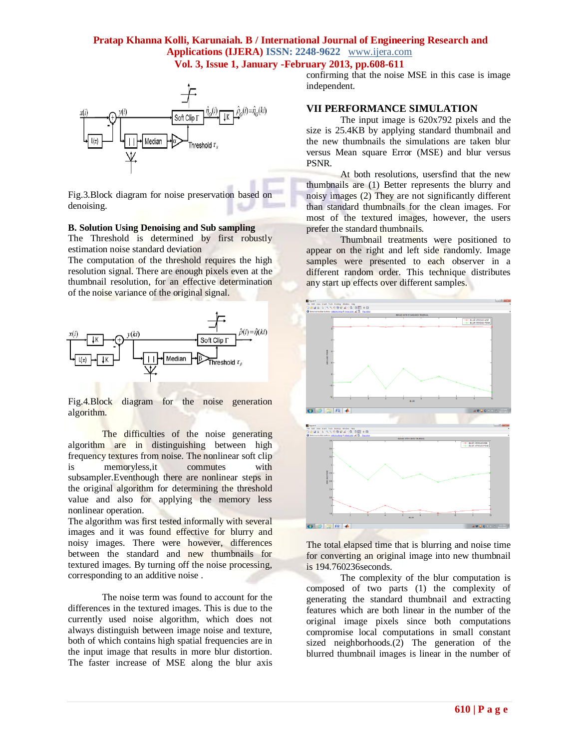# **Pratap Khanna Kolli, Karunaiah. B / International Journal of Engineering Research and Applications (IJERA) ISSN: 2248-9622** www.ijera.com **Vol. 3, Issue 1, January -February 2013, pp.608-611**



Fig.3.Block diagram for noise preservation based on denoising.

### **B. Solution Using Denoising and Sub sampling**

The Threshold is determined by first robustly estimation noise standard deviation

The computation of the threshold requires the high resolution signal. There are enough pixels even at the thumbnail resolution, for an effective determination of the noise variance of the original signal.



Fig.4.Block diagram for the noise generation algorithm.

The difficulties of the noise generating algorithm are in distinguishing between high frequency textures from noise. The nonlinear soft clip is memoryless,it commutes with subsampler.Eventhough there are nonlinear steps in the original algorithm for determining the threshold value and also for applying the memory less nonlinear operation.

The algorithm was first tested informally with several images and it was found effective for blurry and noisy images. There were however, differences between the standard and new thumbnails for textured images. By turning off the noise processing, corresponding to an additive noise .

The noise term was found to account for the differences in the textured images. This is due to the currently used noise algorithm, which does not always distinguish between image noise and texture, both of which contains high spatial frequencies are in the input image that results in more blur distortion. The faster increase of MSE along the blur axis confirming that the noise MSE in this case is image independent.

# **VII PERFORMANCE SIMULATION**

The input image is 620x792 pixels and the size is 25.4KB by applying standard thumbnail and the new thumbnails the simulations are taken blur versus Mean square Error (MSE) and blur versus PSNR.

At both resolutions, usersfind that the new thumbnails are (1) Better represents the blurry and noisy images (2) They are not significantly different than standard thumbnails for the clean images. For most of the textured images, however, the users prefer the standard thumbnails.

Thumbnail treatments were positioned to appear on the right and left side randomly. Image samples were presented to each observer in a different random order. This technique distributes any start up effects over different samples.



The total elapsed time that is blurring and noise time for converting an original image into new thumbnail is 194.760236seconds.

The complexity of the blur computation is composed of two parts (1) the complexity of generating the standard thumbnail and extracting features which are both linear in the number of the original image pixels since both computations compromise local computations in small constant sized neighborhoods.(2) The generation of the blurred thumbnail images is linear in the number of